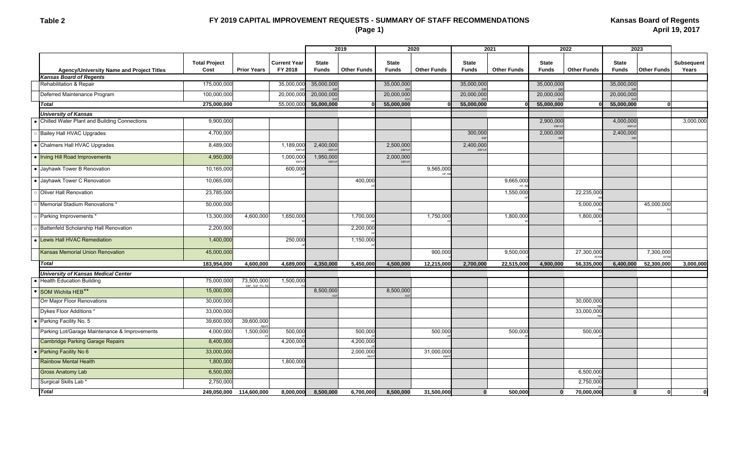#### **Table 2**

# **FY 2019 CAPITAL IMPROVEMENT REQUESTS - SUMMARY OF STAFF RECOMMENDATIONS (Page 1)**

|                                               |                              |                               |                                | 2019                         |                    | 2020                         |                    | 2021                         |                    | 2022                         |                    | 2023                         |                    |                     |
|-----------------------------------------------|------------------------------|-------------------------------|--------------------------------|------------------------------|--------------------|------------------------------|--------------------|------------------------------|--------------------|------------------------------|--------------------|------------------------------|--------------------|---------------------|
| Agency/University Name and Project Titles     | <b>Total Project</b><br>Cost | <b>Prior Years</b>            | <b>Current Year</b><br>FY 2018 | <b>State</b><br><b>Funds</b> | <b>Other Funds</b> | <b>State</b><br><b>Funds</b> | <b>Other Funds</b> | <b>State</b><br><b>Funds</b> | <b>Other Funds</b> | <b>State</b><br><b>Funds</b> | <b>Other Funds</b> | <b>State</b><br><b>Funds</b> | <b>Other Funds</b> | Subsequent<br>Years |
| <b>Kansas Board of Regents</b>                |                              |                               |                                |                              |                    |                              |                    |                              |                    |                              |                    |                              |                    |                     |
| Rehabilitation & Repair                       | 175,000,000                  |                               | 35,000,000                     | 35,000,000                   |                    | 35,000,000                   |                    | 35,000,000                   |                    | 35,000,000                   |                    | 35,000,000                   |                    |                     |
| Deferred Maintenance Program                  | 100,000,000                  |                               | 20,000,000                     | 20,000,000                   |                    | 20,000,000                   |                    | 20,000,000                   |                    | 20,000,000                   |                    | 20,000,000                   |                    |                     |
| Total                                         | 275,000,000                  |                               | 55,000,000                     | 55,000,000                   |                    | 55,000,000                   |                    | 55,000,000                   |                    | 55,000,000                   |                    | 55,000,000                   | ŋ                  |                     |
| <b>University of Kansas</b>                   |                              |                               |                                |                              |                    |                              |                    |                              |                    |                              |                    |                              |                    |                     |
| Chilled Water Plant and Building Connections  | 9,900,000                    |                               |                                |                              |                    |                              |                    |                              |                    | 2,900,000<br><b>FREAI</b>    |                    | 4,000,000<br>FRF/L           |                    | 3,000,000           |
| <b>Bailey Hall HVAC Upgrades</b>              | 4,700,000                    |                               |                                |                              |                    |                              |                    | 300,000                      |                    | 2,000,000                    |                    | 2,400,000                    |                    |                     |
| • Chalmers Hall HVAC Upgrades                 | 8,489,000                    |                               | 1,189,000<br>EBF/U             | 2,400,000<br>EBF/UF          |                    | 2,500,000<br>FBF/L           |                    | 2,400,000<br>FRF/            |                    |                              |                    |                              |                    |                     |
| • Irving Hill Road Improvements               | 4,950,000                    |                               | 1,000,000<br>EBF/U             | 1,950,000<br>EBF/UF          |                    | 2,000,000<br>EBF/U           |                    |                              |                    |                              |                    |                              |                    |                     |
| • Jayhawk Tower B Renovation                  | 10,165,000                   |                               | 600,000                        |                              |                    |                              | 9,565,000<br>HF,   |                              |                    |                              |                    |                              |                    |                     |
| · Jayhawk Tower C Renovation                  | 10,065,000                   |                               |                                |                              | 400,000            |                              |                    |                              | 9,665,000          |                              |                    |                              |                    |                     |
| Oliver Hall Renovation                        | 23,785,000                   |                               |                                |                              |                    |                              |                    |                              | 1,550,000          |                              | 22,235,000         |                              |                    |                     |
| Memorial Stadium Renovations *                | 50,000,000                   |                               |                                |                              |                    |                              |                    |                              |                    |                              | 5,000,000          |                              | 45,000,000         |                     |
| Parking Improvements *                        | 13,300,000                   | 4,600,000                     | 1,650,000                      |                              | 1,700,000          |                              | 1,750,000          |                              | 1,800,000          |                              | 1,800,000          |                              |                    |                     |
| Battenfeld Scholarship Hall Renovation        | 2,200,000                    |                               |                                |                              | 2,200,000          |                              |                    |                              |                    |                              |                    |                              |                    |                     |
| Lewis Hall HVAC Remediation                   | 1,400,000                    |                               | 250,00                         |                              | 1,150,000          |                              |                    |                              |                    |                              |                    |                              |                    |                     |
| <b>Kansas Memorial Union Renovation</b>       | 45,000,000                   |                               |                                |                              |                    |                              | 900,000            |                              | 9,500,000          |                              | 27,300,000         |                              | 7,300,000          |                     |
| <b>Total</b>                                  | 183,954,000                  | 4,600,000                     | 4,689,000                      | 4,350,000                    | 5,450,000          | 4,500,000                    | 12,215,000         | 2,700,000                    | 22,515,000         | 4,900,000                    | 56,335,000         | 6,400,000                    | 52,300,000         | 3,000,000           |
| <b>University of Kansas Medical Center</b>    |                              |                               |                                |                              |                    |                              |                    |                              |                    |                              |                    |                              |                    |                     |
| <b>Health Education Building</b>              | 75,000,000                   | 73,500,000<br>EBF, SGF, PG, R | 1,500,000                      |                              |                    |                              |                    |                              |                    |                              |                    |                              |                    |                     |
| SOM Wichita HEB**                             | 15,000,000                   |                               |                                | 8,500,000                    |                    | 8,500,000                    |                    |                              |                    |                              |                    |                              |                    |                     |
| Orr Major Floor Renovations                   | 30,000,000                   |                               |                                |                              |                    |                              |                    |                              |                    |                              | 30,000,000         |                              |                    |                     |
| Dykes Floor Additions '                       | 33,000,000                   |                               |                                |                              |                    |                              |                    |                              |                    |                              | 33,000,000         |                              |                    |                     |
| Parking Facility No. 5                        | 39,600,000                   | 39,600,000                    |                                |                              |                    |                              |                    |                              |                    |                              |                    |                              |                    |                     |
| Parking Lot/Garage Maintenance & Improvements | 4,000,000                    | 1,500,000                     | 500,000                        |                              | 500,000            |                              | 500,000            |                              | 500,000            |                              | 500,000            |                              |                    |                     |
| <b>Cambridge Parking Garage Repairs</b>       | 8,400,000                    |                               | 4,200,00                       |                              | 4,200,000          |                              |                    |                              |                    |                              |                    |                              |                    |                     |
| Parking Facility No 6                         | 33,000,000                   |                               |                                |                              | 2,000,000          |                              | 31,000,000         |                              |                    |                              |                    |                              |                    |                     |
| <b>Rainbow Mental Health</b>                  | 1,800,000                    |                               | 1,800,000                      |                              |                    |                              |                    |                              |                    |                              |                    |                              |                    |                     |
| <b>Gross Anatomy Lab</b>                      | 6,500,000                    |                               |                                |                              |                    |                              |                    |                              |                    |                              | 6,500,000          |                              |                    |                     |
| Surgical Skills Lab *                         | 2,750,000                    |                               |                                |                              |                    |                              |                    |                              |                    |                              | 2,750,000          |                              |                    |                     |
| <b>Total</b>                                  |                              | 249,050,000 114,600,000       | 8,000,000                      | 8,500,000                    | 6,700,000          | 8,500,000                    | 31,500,000         | $\Omega$                     | 500,000            | $\bf{0}$                     | 70,000,000         | $\Omega$                     | Û                  |                     |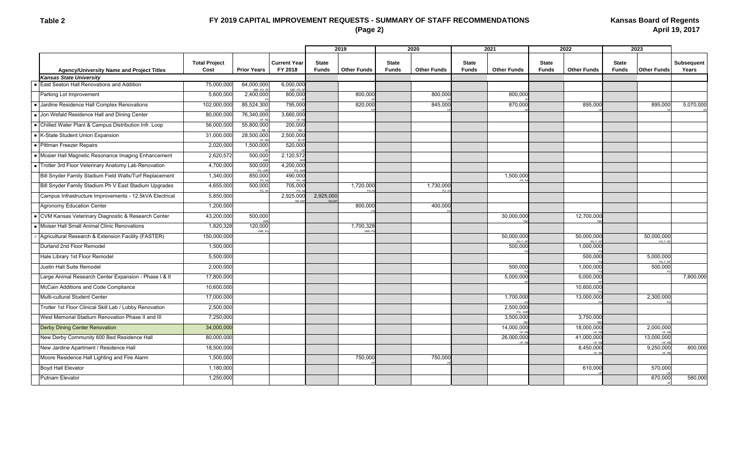# **FY 2019 CAPITAL IMPROVEMENT REQUESTS - SUMMARY OF STAFF RECOMMENDATIONS (Page 2)**

|                                                         |                              |                      |                                |                              | 2019                | 2020                         |                    | 2021                         |                    | 2022                         |                    | 2023                         |                         |                            |  |
|---------------------------------------------------------|------------------------------|----------------------|--------------------------------|------------------------------|---------------------|------------------------------|--------------------|------------------------------|--------------------|------------------------------|--------------------|------------------------------|-------------------------|----------------------------|--|
| <b>Agency/University Name and Project Titles</b>        | <b>Total Project</b><br>Cost | <b>Prior Years</b>   | <b>Current Year</b><br>FY 2018 | <b>State</b><br><b>Funds</b> | <b>Other Funds</b>  | <b>State</b><br><b>Funds</b> | <b>Other Funds</b> | <b>State</b><br><b>Funds</b> | <b>Other Funds</b> | <b>State</b><br><b>Funds</b> | <b>Other Funds</b> | <b>State</b><br><b>Funds</b> | <b>Other Funds</b>      | <b>Subsequent</b><br>Years |  |
| <b>Kansas State University</b>                          |                              |                      |                                |                              |                     |                              |                    |                              |                    |                              |                    |                              |                         |                            |  |
| • East Seaton Hall Renovations and Addition             | 75,000,000                   | 64,000,000<br>FRE PG | 6,000,000<br>EBF, PG.          |                              |                     |                              |                    |                              |                    |                              |                    |                              |                         |                            |  |
| Parking Lot Improvement                                 | 5,600,000                    | 2,400,000            | 800,000                        |                              | 800,000             |                              | 800,000            |                              | 800,000            |                              |                    |                              |                         |                            |  |
| • Jardine Residence Hall Complex Renovations            | 102,000,000                  | 85,524,300           | 795,000                        |                              | 820,000             |                              | 845,000            |                              | 870,000            |                              | 895,000            |                              | 895,000                 | 5,070,000                  |  |
| • Jon Wefald Residence Hall and Dining Center           | 80,000,000                   | 76,340,000           | 3,660,000                      |                              |                     |                              |                    |                              |                    |                              |                    |                              |                         |                            |  |
| • Chilled Water Plant & Campus Distribution Infr. Loop  | 56,000,000                   | 55,800,000           | 200,000                        |                              |                     |                              |                    |                              |                    |                              |                    |                              |                         |                            |  |
| • K-State Student Union Expansion                       | 31,000,000                   | 28,500,000           | 2,500,000                      |                              |                     |                              |                    |                              |                    |                              |                    |                              |                         |                            |  |
| • Pittman Freezer Repairs                               | 2,020,000                    | 1,500,000            | 520,000                        |                              |                     |                              |                    |                              |                    |                              |                    |                              |                         |                            |  |
| • Mosier Hall Magnetic Resonance Imaging Enhancement    | 2,620,572                    | 500,000              | 2,120,572                      |                              |                     |                              |                    |                              |                    |                              |                    |                              |                         |                            |  |
| • Trotter 3rd Floor Veterinary Anatomy Lab Renovation   | 4,700,000                    | 500,000<br>PG, VM    | 4,200,000<br>PG, VI            |                              |                     |                              |                    |                              |                    |                              |                    |                              |                         |                            |  |
| Bill Snyder Family Stadium Field Walls/Turf Replacement | 1,340,000                    | 850,000<br>PG, A     | 490,000<br>PG,                 |                              |                     |                              |                    |                              | 1,500,000<br>PG 4  |                              |                    |                              |                         |                            |  |
| Bill Snyder Family Stadium Ph V East Stadium Upgrades   | 4,655,000                    | 500,000              | 705,000                        |                              | 1,720,000           |                              | 1,730,000          |                              |                    |                              |                    |                              |                         |                            |  |
| Campus Infrastructure Improvements - 12.5kVA Electrical | 5,850,000                    |                      | 2,925,000                      | 2,925,000                    |                     |                              |                    |                              |                    |                              |                    |                              |                         |                            |  |
| Agronomy Education Center                               | 1,200,000                    |                      |                                |                              | 800,000             |                              | 400,000            |                              |                    |                              |                    |                              |                         |                            |  |
| • CVM Kansas Veterinary Diagnostic & Research Center    | 43,200,000                   | 500,000              |                                |                              |                     |                              |                    |                              | 30,000,000         |                              | 12,700,000         |                              |                         |                            |  |
| • Moiser Hall Small Animal Clinic Renovations           | 1,820,328                    | 120.000<br>VMR F     |                                |                              | 1,700,328<br>VMR. P |                              |                    |                              |                    |                              |                    |                              |                         |                            |  |
| Agricultural Research & Extension Facility (FASTER)     | 150,000,000                  |                      |                                |                              |                     |                              |                    |                              | 50,000,000         |                              | 50,000,000         |                              | 50,000,000<br>BCE       |                            |  |
| Durland 2nd Floor Remodel                               | 1,500,000                    |                      |                                |                              |                     |                              |                    |                              | 500,000            |                              | 1,000,000          |                              |                         |                            |  |
| Hale Library 1st Floor Remodel                          | 5,500,000                    |                      |                                |                              |                     |                              |                    |                              |                    |                              | 500,000            |                              | 5,000,000               |                            |  |
| Justin Hall Suite Remodel                               | 2,000,000                    |                      |                                |                              |                     |                              |                    |                              | 500,000            |                              | 1,000,000          |                              | 500,000                 |                            |  |
| Large Animal Research Center Expansion - Phase I & II   | 17,800,000                   |                      |                                |                              |                     |                              |                    |                              | 5,000,000          |                              | 5,000,000          |                              |                         | 7,800,000                  |  |
| McCain Additions and Code Compliance                    | 10,600,000                   |                      |                                |                              |                     |                              |                    |                              |                    |                              | 10,600,000         |                              |                         |                            |  |
| Multi-cultural Student Center                           | 17,000,000                   |                      |                                |                              |                     |                              |                    |                              | 1,700,000          |                              | 13,000,000         |                              | 2,300,000               |                            |  |
| Trotter 1st Floor Clinical Skill Lab / Lobby Renovation | 2,500,000                    |                      |                                |                              |                     |                              |                    |                              | 2,500,000          |                              |                    |                              |                         |                            |  |
| West Memorial Stadium Renovation Phase II and III       | 7,250,000                    |                      |                                |                              |                     |                              |                    |                              | 3,500,000          |                              | 3,750,000          |                              |                         |                            |  |
| <b>Derby Dining Center Renovation</b>                   | 34,000,000                   |                      |                                |                              |                     |                              |                    |                              | 14,000,000         |                              | 18,000,000         |                              | 2,000,000               |                            |  |
| New Derby Community 600 Bed Residence Hall              | 80,000,000                   |                      |                                |                              |                     |                              |                    |                              | 26,000,000         |                              | 41,000,000         |                              | 13,000,000              |                            |  |
| New Jardine Apartment / Residence Hall                  | 18,500,000                   |                      |                                |                              |                     |                              |                    |                              |                    |                              | 8,450,000          |                              | 9,250,000<br><b>LID</b> | 800,000                    |  |
| Moore Residence Hall Lighting and Fire Alarm            | 1,500,000                    |                      |                                |                              | 750,000             |                              | 750,000            |                              |                    |                              |                    |                              |                         |                            |  |
| <b>Boyd Hall Elevator</b>                               | 1,180,000                    |                      |                                |                              |                     |                              |                    |                              |                    |                              | 610,000            |                              | 570,000                 |                            |  |
| <b>Putnam Elevator</b>                                  | 1,250,000                    |                      |                                |                              |                     |                              |                    |                              |                    |                              |                    |                              | 670,000                 | 580,000                    |  |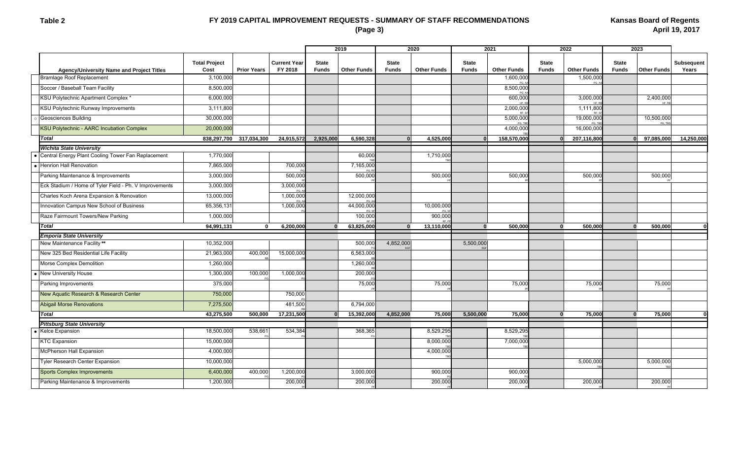#### **Table 2**

# **FY 2019 CAPITAL IMPROVEMENT REQUESTS - SUMMARY OF STAFF RECOMMENDATIONS (Page 3)**

|                                                        |                              |                    |                                |                              | 2019<br>2020       |                              |                    | 2021                         |                    | 2022                         |                    | 2023                         |                    |                            |
|--------------------------------------------------------|------------------------------|--------------------|--------------------------------|------------------------------|--------------------|------------------------------|--------------------|------------------------------|--------------------|------------------------------|--------------------|------------------------------|--------------------|----------------------------|
| <b>Agency/University Name and Project Titles</b>       | <b>Total Project</b><br>Cost | <b>Prior Years</b> | <b>Current Year</b><br>FY 2018 | <b>State</b><br><b>Funds</b> | <b>Other Funds</b> | <b>State</b><br><b>Funds</b> | <b>Other Funds</b> | <b>State</b><br><b>Funds</b> | <b>Other Funds</b> | <b>State</b><br><b>Funds</b> | <b>Other Funds</b> | <b>State</b><br><b>Funds</b> | <b>Other Funds</b> | <b>Subsequent</b><br>Years |
| <b>Bramlage Roof Replacement</b>                       | 3,100,000                    |                    |                                |                              |                    |                              |                    |                              | 1,600,000          |                              | 1,500,000<br>PG. A |                              |                    |                            |
| Soccer / Baseball Team Facility                        | 8,500,000                    |                    |                                |                              |                    |                              |                    |                              | 8,500,000          |                              |                    |                              |                    |                            |
| KSU Polytechnic Apartment Complex *                    | 6,000,000                    |                    |                                |                              |                    |                              |                    |                              | 600,000            |                              | 3,000,000          |                              | 2,400,000          |                            |
| KSU Polytechnic Runway Improvements                    | 3,111,800                    |                    |                                |                              |                    |                              |                    |                              | 2,000,000          |                              | 1,111,800          |                              |                    |                            |
| Geosciences Building                                   | 30,000,000                   |                    |                                |                              |                    |                              |                    |                              | 5,000,000<br>PG TE |                              | 19,000,000         |                              | 10,500,000         |                            |
| <b>KSU Polytechnic - AARC Incubation Complex</b>       | 20,000,000                   |                    |                                |                              |                    |                              |                    |                              | 4,000,000          |                              | 16,000,000         |                              |                    |                            |
| <b>Total</b>                                           | 838,297,700                  | 317,034,300        | 24,915,572                     | 2.925.000                    | 6,590,328          | $\Omega$                     | 4,525,000          | $\mathbf{0}$                 | 158,570,000        | $\Omega$                     | 207,116,800        | $\Omega$                     | 97,085,000         | 14,250,000                 |
| <b>Wichita State University</b>                        |                              |                    |                                |                              |                    |                              |                    |                              |                    |                              |                    |                              |                    |                            |
| Central Energy Plant Cooling Tower Fan Replacement     | 1,770,000                    |                    |                                |                              | 60,000             |                              | 1,710,000          |                              |                    |                              |                    |                              |                    |                            |
| Henrion Hall Renovation                                | 7,865,000                    |                    | 700,000                        |                              | 7,165,000          |                              |                    |                              |                    |                              |                    |                              |                    |                            |
| Parking Maintenance & Improvements                     | 3,000,000                    |                    | 500,000                        |                              | 500,000            |                              | 500,000            |                              | 500,000            |                              | 500,000            |                              | 500,000            |                            |
| Eck Stadium / Home of Tyler Field - Ph. V Improvements | 3,000,000                    |                    | 3,000,00                       |                              |                    |                              |                    |                              |                    |                              |                    |                              |                    |                            |
| Charles Koch Arena Expansion & Renovation              | 13,000,000                   |                    | 1,000,000                      |                              | 12,000,000         |                              |                    |                              |                    |                              |                    |                              |                    |                            |
| Innovation Campus New School of Business               | 65,356,131                   |                    | 1,000,000                      |                              | 44,000,000         |                              | 10,000,000         |                              |                    |                              |                    |                              |                    |                            |
| Raze Fairmount Towers/New Parking                      | 1,000,000                    |                    |                                |                              | 100,000            |                              | 900,000            |                              |                    |                              |                    |                              |                    |                            |
| <b>Total</b>                                           | 94,991,131                   | $\mathbf{0}$       | 6,200,000                      | $\bf{0}$                     | 63,825,000         | $\mathbf{0}$                 | 13,110,000         | $\mathbf{0}$                 | 500,000            | $\Omega$                     | 500,000            | $\mathbf{0}$                 | 500,000            |                            |
| <b>Emporia State University</b>                        |                              |                    |                                |                              |                    |                              |                    |                              |                    |                              |                    |                              |                    |                            |
| New Maintenance Facility**                             | 10,352,000                   |                    |                                |                              | 500,000            | 4,852,000                    |                    | 5,500,000                    |                    |                              |                    |                              |                    |                            |
| New 325 Bed Residential Life Facility                  | 21,963,000                   | 400,000            | 15,000,000                     |                              | 6,563,000          |                              |                    |                              |                    |                              |                    |                              |                    |                            |
| Morse Complex Demolition                               | 1,260,000                    |                    |                                |                              | 1,260,000          |                              |                    |                              |                    |                              |                    |                              |                    |                            |
| New University House                                   | 1,300,000                    | 100,000            | 1,000,000                      |                              | 200,000            |                              |                    |                              |                    |                              |                    |                              |                    |                            |
| Parking Improvements                                   | 375,000                      |                    |                                |                              | 75,000             |                              | 75,000             |                              | 75,000             |                              | 75,000             |                              | 75,000             |                            |
| New Aquatic Research & Research Center                 | 750,000                      |                    | 750,000                        |                              |                    |                              |                    |                              |                    |                              |                    |                              |                    |                            |
| <b>Abigail Morse Renovations</b>                       | 7,275,500                    |                    | 481,500                        |                              | 6,794,000          |                              |                    |                              |                    |                              |                    |                              |                    |                            |
| <b>Total</b>                                           | 43,275,500                   | 500,000            | 17,231,500                     |                              | 15,392,000         | 4,852,000                    | 75,000             | 5,500,000                    | 75,000             | $\bf{0}$                     | 75,000             | $\mathbf{0}$                 | 75,000             |                            |
| <b>Pittsburg State University</b>                      |                              |                    |                                |                              |                    |                              |                    |                              |                    |                              |                    |                              |                    |                            |
| <b>Kelce Expansion</b>                                 | 18,500,000                   | 538,661            | 534,384                        |                              | 368,365            |                              | 8,529,295          |                              | 8,529,295          |                              |                    |                              |                    |                            |
| <b>KTC Expansion</b>                                   | 15,000,000                   |                    |                                |                              |                    |                              | 8,000,000          |                              | 7,000,000          |                              |                    |                              |                    |                            |
| <b>McPherson Hall Expansion</b>                        | 4,000,000                    |                    |                                |                              |                    |                              | 4,000,000          |                              |                    |                              |                    |                              |                    |                            |
| <b>Tyler Research Center Expansion</b>                 | 10,000,000                   |                    |                                |                              |                    |                              |                    |                              |                    |                              | 5,000,000          |                              | 5,000,000          |                            |
| <b>Sports Complex Improvements</b>                     | 6,400,000                    | 400,000            | 1,200,000                      |                              | 3,000,000          |                              | 900,000            |                              | 900,000            |                              |                    |                              |                    |                            |
| Parking Maintenance & Improvements                     | 1,200,000                    |                    | 200,000                        |                              | 200,000            |                              | 200,000            |                              | 200,000            |                              | 200,000            |                              | 200,000            |                            |